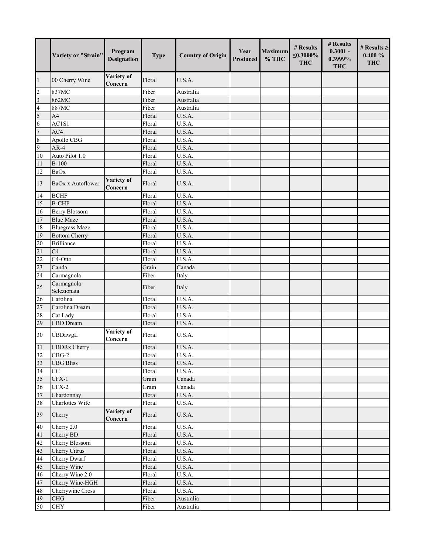|                         | Variety or "Strain"       | Program<br><b>Designation</b> | <b>Type</b> | <b>Country of Origin</b>      | Year<br>Produced | Maximum<br>$%$ THC | # Results<br>$\leq 0.3000\%$<br><b>THC</b> | # Results<br>$0.3001 -$<br>0.3999%<br><b>THC</b> | # Results $\geq$<br>$0.400 \%$<br><b>THC</b> |
|-------------------------|---------------------------|-------------------------------|-------------|-------------------------------|------------------|--------------------|--------------------------------------------|--------------------------------------------------|----------------------------------------------|
| 1                       | 00 Cherry Wine            | Variety of<br>Concern         | Floral      | U.S.A.                        |                  |                    |                                            |                                                  |                                              |
| $\overline{c}$          | 837MC                     |                               | Fiber       | Australia                     |                  |                    |                                            |                                                  |                                              |
| $\overline{\mathbf{3}}$ | 862MC                     |                               | Fiber       | Australia                     |                  |                    |                                            |                                                  |                                              |
| $\overline{\mathbf{4}}$ | 887MC                     |                               | Fiber       | Australia                     |                  |                    |                                            |                                                  |                                              |
| 5                       | A <sub>4</sub>            |                               | Floral      | U.S.A.                        |                  |                    |                                            |                                                  |                                              |
| 6                       | AC1S1                     |                               | Floral      | U.S.A.                        |                  |                    |                                            |                                                  |                                              |
| $\overline{7}$          | AC4                       |                               | Floral      | U.S.A.                        |                  |                    |                                            |                                                  |                                              |
| $\,$ 8 $\,$             | Apollo CBG                |                               | Floral      | U.S.A.                        |                  |                    |                                            |                                                  |                                              |
| $\overline{9}$          | $AR-4$                    |                               | Floral      | U.S.A.                        |                  |                    |                                            |                                                  |                                              |
| 10                      | Auto Pilot 1.0            |                               | Floral      | $\overline{U}.S.A.$           |                  |                    |                                            |                                                  |                                              |
| 11                      | $B-100$                   |                               | Floral      | U.S.A.                        |                  |                    |                                            |                                                  |                                              |
| 12                      | BaOx                      |                               | Floral      | U.S.A.                        |                  |                    |                                            |                                                  |                                              |
| 13                      | BaOx x Autoflower         | Variety of<br>Concern         | Floral      | U.S.A.                        |                  |                    |                                            |                                                  |                                              |
| 14                      | <b>BCHF</b>               |                               | Floral      | $\overline{\mathrm{U.S}}$ .A. |                  |                    |                                            |                                                  |                                              |
| 15                      | <b>B-CHP</b>              |                               | Floral      | U.S.A.                        |                  |                    |                                            |                                                  |                                              |
| 16                      | <b>Berry Blossom</b>      |                               | Floral      | U.S.A.                        |                  |                    |                                            |                                                  |                                              |
| 17                      | <b>Blue Maze</b>          |                               | Floral      | U.S.A.                        |                  |                    |                                            |                                                  |                                              |
| 18                      | <b>Bluegrass Maze</b>     |                               | Floral      | U.S.A.                        |                  |                    |                                            |                                                  |                                              |
| 19                      | <b>Bottom Cherry</b>      |                               | Floral      | U.S.A.                        |                  |                    |                                            |                                                  |                                              |
| 20                      | <b>Brilliance</b>         |                               | Floral      | U.S.A.                        |                  |                    |                                            |                                                  |                                              |
| 21                      | C <sub>4</sub>            |                               | Floral      | U.S.A.                        |                  |                    |                                            |                                                  |                                              |
| $\overline{22}$         | C4-Otto                   |                               | Floral      | U.S.A.                        |                  |                    |                                            |                                                  |                                              |
| 23                      | Canda                     |                               | Grain       | Canada                        |                  |                    |                                            |                                                  |                                              |
| $\overline{24}$         | Carmagnola                |                               | Fiber       | Italy                         |                  |                    |                                            |                                                  |                                              |
| 25                      | Carmagnola<br>Selezionata |                               | Fiber       | Italy                         |                  |                    |                                            |                                                  |                                              |
| 26                      | Carolina                  |                               | Floral      | $\overline{U.S}.A.$           |                  |                    |                                            |                                                  |                                              |
| $\overline{27}$         | Carolina Dream            |                               | Floral      | U.S.A.                        |                  |                    |                                            |                                                  |                                              |
| 28                      | Cat Lady                  |                               | Floral      | U.S.A.                        |                  |                    |                                            |                                                  |                                              |
| 29                      | CBD Dream                 |                               | Floral      | U.S.A.                        |                  |                    |                                            |                                                  |                                              |
| 30                      | CBDawgL                   | Variety of<br>Concern         | Floral      | U.S.A.                        |                  |                    |                                            |                                                  |                                              |
| 31                      | <b>CBDRx Cherry</b>       |                               | Floral      | U.S.A.                        |                  |                    |                                            |                                                  |                                              |
| 32                      | $CBG-2$                   |                               | Floral      | U.S.A.                        |                  |                    |                                            |                                                  |                                              |
| 33                      | <b>CBG Bliss</b>          |                               | Floral      | U.S.A.                        |                  |                    |                                            |                                                  |                                              |
| 34                      | $\overline{CC}$           |                               | Floral      | $\overline{\text{U.S.A.}}$    |                  |                    |                                            |                                                  |                                              |
| 35                      | $CFX-1$                   |                               | Grain       | Canada                        |                  |                    |                                            |                                                  |                                              |
| 36                      | CFX-2                     |                               | Grain       | Canada                        |                  |                    |                                            |                                                  |                                              |
| 37                      | Chardonnay                |                               | Floral      | U.S.A.                        |                  |                    |                                            |                                                  |                                              |
| 38                      | Charlottes Wife           |                               | Floral      | U.S.A.                        |                  |                    |                                            |                                                  |                                              |
| 39                      | Cherry                    | Variety of<br>Concern         | Floral      | U.S.A.                        |                  |                    |                                            |                                                  |                                              |
| 40                      | Cherry 2.0                |                               | Floral      | U.S.A.                        |                  |                    |                                            |                                                  |                                              |
| 41                      | Cherry BD                 |                               | Floral      | U.S.A.                        |                  |                    |                                            |                                                  |                                              |
| 42                      | Cherry Blossom            |                               | Floral      | U.S.A.                        |                  |                    |                                            |                                                  |                                              |
| 43                      | Cherry Citrus             |                               | Floral      | U.S.A.                        |                  |                    |                                            |                                                  |                                              |
| 44                      | Cherry Dwarf              |                               | Floral      | U.S.A.                        |                  |                    |                                            |                                                  |                                              |
| 45                      | Cherry Wine               |                               | Floral      | U.S.A.                        |                  |                    |                                            |                                                  |                                              |
| 46                      | Cherry Wine 2.0           |                               | Floral      | U.S.A.                        |                  |                    |                                            |                                                  |                                              |
| 47                      | Cherry Wine-HGH           |                               | Floral      | U.S.A.                        |                  |                    |                                            |                                                  |                                              |
| 48                      | Cherrywine Cross          |                               | Floral      | U.S.A.                        |                  |                    |                                            |                                                  |                                              |
| 49                      | CHG                       |                               | Fiber       | Australia                     |                  |                    |                                            |                                                  |                                              |
| 50                      | <b>CHY</b>                |                               | Fiber       | Australia                     |                  |                    |                                            |                                                  |                                              |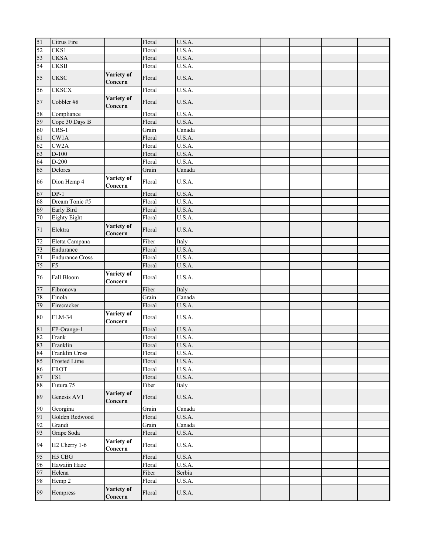| 51     | Citrus Fire               |                       | Floral | U.S.A. |  |  |  |
|--------|---------------------------|-----------------------|--------|--------|--|--|--|
| 52     | CKS1                      |                       | Floral | U.S.A. |  |  |  |
| 53     | <b>CKSA</b>               |                       | Floral | U.S.A. |  |  |  |
| 54     | CKSB                      |                       | Floral | U.S.A. |  |  |  |
| 55     | <b>CKSC</b>               | Variety of            | Floral | U.S.A. |  |  |  |
|        |                           | Concern               |        |        |  |  |  |
| 56     | <b>CKSCX</b>              |                       | Floral | U.S.A. |  |  |  |
| 57     | Cobbler #8                | Variety of<br>Concern | Floral | U.S.A. |  |  |  |
| 58     | Compliance                |                       | Floral | U.S.A. |  |  |  |
| 59     | Cope 30 Days B            |                       | Floral | U.S.A. |  |  |  |
| 60     | $CRS-1$                   |                       | Grain  | Canada |  |  |  |
| 61     | CW1A                      |                       | Floral | U.S.A. |  |  |  |
| 62     | CW2A                      |                       | Floral | U.S.A. |  |  |  |
| 63     | $D-100$                   |                       | Floral | U.S.A. |  |  |  |
| 64     | $D-200$                   |                       | Floral | U.S.A. |  |  |  |
| 65     | Delores                   |                       | Grain  | Canada |  |  |  |
| 66     | Dion Hemp 4               | Variety of<br>Concern | Floral | U.S.A. |  |  |  |
| 67     | $DP-1$                    |                       | Floral | U.S.A. |  |  |  |
| 68     | Dream Tonic #5            |                       | Floral | U.S.A. |  |  |  |
| 69     | Early Bird                |                       | Floral | U.S.A. |  |  |  |
| 70     | Eighty Eight              |                       | Floral | U.S.A. |  |  |  |
| $71\,$ | Elektra                   | Variety of<br>Concern | Floral | U.S.A. |  |  |  |
| 72     | Eletta Campana            |                       | Fiber  | Italy  |  |  |  |
| 73     | Endurance                 |                       | Floral | U.S.A. |  |  |  |
| 74     | <b>Endurance Cross</b>    |                       | Floral | U.S.A. |  |  |  |
| 75     | F <sub>5</sub>            |                       | Floral | U.S.A. |  |  |  |
| 76     | Fall Bloom                | Variety of<br>Concern | Floral | U.S.A. |  |  |  |
| 77     | Fibronova                 |                       | Fiber  | Italy  |  |  |  |
| 78     | Finola                    |                       | Grain  | Canada |  |  |  |
| 79     | Firecracker               |                       | Floral | U.S.A. |  |  |  |
| 80     | <b>FLM-34</b>             | Variety of<br>Concern | Floral | U.S.A. |  |  |  |
| 81     | FP-Orange-1               |                       | Floral | U.S.A. |  |  |  |
| 82     | Frank                     |                       | Floral | U.S.A. |  |  |  |
| 83     | Franklin                  |                       | Floral | U.S.A. |  |  |  |
| 84     | Franklin Cross            |                       | Floral | U.S.A. |  |  |  |
| 85     | Frosted Lime              |                       | Floral | U.S.A. |  |  |  |
| 86     | <b>FROT</b>               |                       | Floral | U.S.A. |  |  |  |
| 87     | FS1                       |                       | Floral | U.S.A. |  |  |  |
| 88     | Futura 75                 |                       | Fiber  | Italy  |  |  |  |
| 89     | Genesis AV1               | Variety of<br>Concern | Floral | U.S.A. |  |  |  |
| 90     | Georgina                  |                       | Grain  | Canada |  |  |  |
| 91     | Golden Redwood            |                       | Floral | U.S.A. |  |  |  |
| 92     | Grandi                    |                       | Grain  | Canada |  |  |  |
| 93     | Grape Soda                |                       | Floral | U.S.A. |  |  |  |
| 94     | H <sub>2</sub> Cherry 1-6 | Variety of<br>Concern | Floral | U.S.A. |  |  |  |
| 95     | H <sub>5</sub> CBG        |                       | Floral | U.S.A  |  |  |  |
| 96     | Hawaiin Haze              |                       | Floral | U.S.A. |  |  |  |
| 97     | Helena                    |                       | Fiber  | Serbia |  |  |  |
| 98     | Hemp 2                    |                       | Floral | U.S.A. |  |  |  |
| 99     | Hempress                  | Variety of<br>Concern | Floral | U.S.A. |  |  |  |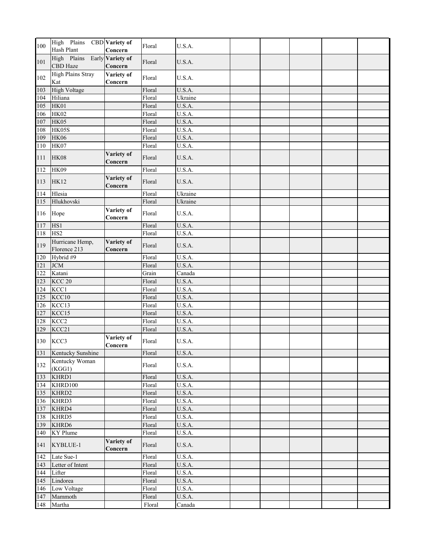| 100 | High Plains<br><b>Hash Plant</b> | CBD Variety of<br>Concern   | Floral | U.S.A.              |  |  |  |
|-----|----------------------------------|-----------------------------|--------|---------------------|--|--|--|
| 101 | High Plains<br>CBD Haze          | Early Variety of<br>Concern | Floral | U.S.A.              |  |  |  |
| 102 | <b>High Plains Stray</b><br>Kat  | Variety of<br>Concern       | Floral | U.S.A.              |  |  |  |
| 103 | <b>High Voltage</b>              |                             | Floral | U.S.A.              |  |  |  |
| 104 | Hiliana                          |                             | Floral | Ukraine             |  |  |  |
| 105 | HK01                             |                             | Floral | U.S.A.              |  |  |  |
| 106 | <b>HK02</b>                      |                             | Floral | U.S.A.              |  |  |  |
| 107 | HK05                             |                             | Floral | U.S.A.              |  |  |  |
| 108 | <b>HK05S</b>                     |                             | Floral | $\overline{U.S}.A.$ |  |  |  |
| 109 | <b>HK06</b>                      |                             | Floral | U.S.A.              |  |  |  |
| 110 | HK07                             |                             | Floral | U.S.A.              |  |  |  |
| 111 | HK08                             | Variety of<br>Concern       | Floral | U.S.A.              |  |  |  |
| 112 | <b>HK09</b>                      |                             | Floral | U.S.A.              |  |  |  |
| 113 | <b>HK12</b>                      | Variety of<br>Concern       | Floral | U.S.A.              |  |  |  |
| 114 | Hlesia                           |                             | Floral | Ukraine             |  |  |  |
| 115 | Hlukhovski                       |                             | Floral | Ukraine             |  |  |  |
| 116 | Hope                             | Variety of<br>Concern       | Floral | U.S.A.              |  |  |  |
| 117 | HS1                              |                             | Floral | U.S.A.              |  |  |  |
| 118 | HS <sub>2</sub>                  |                             | Floral | U.S.A.              |  |  |  |
| 119 | Hurricane Hemp,<br>Florence 213  | Variety of<br>Concern       | Floral | U.S.A.              |  |  |  |
| 120 | Hybrid #9                        |                             | Floral | U.S.A.              |  |  |  |
| 121 | <b>JCM</b>                       |                             | Floral | U.S.A.              |  |  |  |
| 122 | Katani                           |                             | Grain  | Canada              |  |  |  |
| 123 | KCC <sub>20</sub>                |                             | Floral | U.S.A.              |  |  |  |
| 124 | KCC1                             |                             | Floral | $\overline{U.S}.A.$ |  |  |  |
| 125 | KCC10                            |                             | Floral | U.S.A.              |  |  |  |
| 126 | KCC13                            |                             | Floral | U.S.A.              |  |  |  |
| 127 | KCC15                            |                             | Floral | U.S.A.              |  |  |  |
| 128 | KCC <sub>2</sub>                 |                             | Floral | U.S.A.              |  |  |  |
| 129 | KCC21                            |                             | Floral | U.S.A.              |  |  |  |
| 130 | KCC3                             | Variety of<br>Concern       | Floral | U.S.A.              |  |  |  |
| 131 | Kentucky Sunshine                |                             | Floral | U.S.A.              |  |  |  |
| 132 | Kentucky Woman<br>(KGG1)         |                             | Floral | U.S.A.              |  |  |  |
| 133 | KHRD1                            |                             | Floral | U.S.A.              |  |  |  |
|     | 134 KHRD100                      |                             | Floral | U.S.A.              |  |  |  |
|     | 135 KHRD2                        |                             | Floral | U.S.A.              |  |  |  |
|     | 136 KHRD3                        |                             | Floral | U.S.A.              |  |  |  |
| 137 | KHRD4                            |                             | Floral | U.S.A.              |  |  |  |
|     | 138 KHRD5                        |                             | Floral | U.S.A.              |  |  |  |
|     | 139 KHRD6                        |                             | Floral | U.S.A.              |  |  |  |
| 140 | <b>KY</b> Plume                  |                             | Floral | U.S.A.              |  |  |  |
| 141 | KYBLUE-1                         | Variety of<br>Concern       | Floral | U.S.A.              |  |  |  |
| 142 | Late Sue-1                       |                             | Floral | U.S.A.              |  |  |  |
| 143 | Letter of Intent                 |                             | Floral | U.S.A.              |  |  |  |
|     | 144 Lifter                       |                             | Floral | U.S.A.              |  |  |  |
| 145 | Lindorea                         |                             | Floral | U.S.A.              |  |  |  |
| 146 | Low Voltage                      |                             | Floral | U.S.A.              |  |  |  |
| 147 | Mammoth                          |                             | Floral | U.S.A.              |  |  |  |
|     | 148 Martha                       |                             | Floral | Canada              |  |  |  |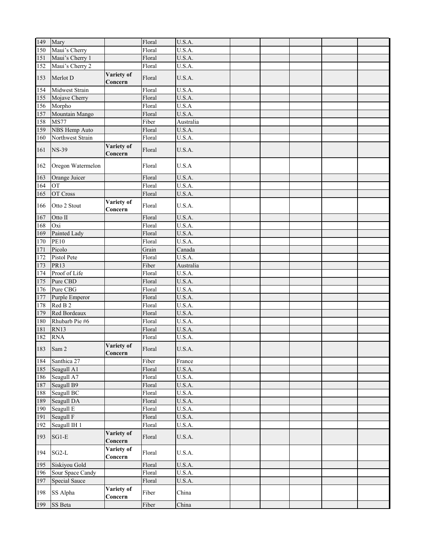| 149 | Mary               |                       | Floral | U.S.A.              |  |  |  |
|-----|--------------------|-----------------------|--------|---------------------|--|--|--|
| 150 | Maui's Cherry      |                       | Floral | U.S.A.              |  |  |  |
| 151 | Maui's Cherry 1    |                       | Floral | U.S.A.              |  |  |  |
| 152 | Maui's Cherry 2    |                       | Floral | U.S.A.              |  |  |  |
| 153 | Merlot D           | Variety of<br>Concern | Floral | U.S.A.              |  |  |  |
| 154 | Midwest Strain     |                       | Floral | U.S.A.              |  |  |  |
| 155 | Mojave Cherry      |                       | Floral | U.S.A.              |  |  |  |
| 156 | Morpho             |                       | Floral | U.S.A               |  |  |  |
| 157 | Mountain Mango     |                       | Floral | U.S.A.              |  |  |  |
| 158 | <b>MS77</b>        |                       | Fiber  | Australia           |  |  |  |
| 159 | NBS Hemp Auto      |                       | Floral | $\overline{U}.S.A.$ |  |  |  |
| 160 | Northwest Strain   |                       | Floral | U.S.A.              |  |  |  |
| 161 | <b>NS-39</b>       | Variety of<br>Concern | Floral | U.S.A.              |  |  |  |
| 162 | Oregon Watermelon  |                       | Floral | U.S.A               |  |  |  |
| 163 | Orange Juicer      |                       | Floral | U.S.A.              |  |  |  |
| 164 | OT                 |                       | Floral | U.S.A.              |  |  |  |
| 165 | OT Cross           |                       | Floral | U.S.A.              |  |  |  |
| 166 | Otto 2 Stout       | Variety of<br>Concern | Floral | U.S.A.              |  |  |  |
| 167 | Otto II            |                       | Floral | U.S.A.              |  |  |  |
| 168 | Oxi                |                       | Floral | U.S.A.              |  |  |  |
| 169 | Painted Lady       |                       | Floral | U.S.A.              |  |  |  |
| 170 | <b>PE10</b>        |                       | Floral | U.S.A.              |  |  |  |
| 171 | Picolo             |                       | Grain  | Canada              |  |  |  |
| 172 | <b>Pistol Pete</b> |                       | Floral | U.S.A.              |  |  |  |
| 173 | <b>PR13</b>        |                       | Fiber  | Australia           |  |  |  |
| 174 | Proof of Life      |                       | Floral | U.S.A.              |  |  |  |
| 175 | Pure CBD           |                       | Floral | U.S.A.              |  |  |  |
| 176 | Pure CBG           |                       | Floral | $\overline{U}.S.A.$ |  |  |  |
| 177 | Purple Emperor     |                       | Floral | U.S.A.              |  |  |  |
| 178 | Red B <sub>2</sub> |                       | Floral | U.S.A.              |  |  |  |
| 179 | Red Bordeaux       |                       | Floral | U.S.A.              |  |  |  |
| 180 | Rhubarb Pie #6     |                       | Floral | U.S.A.              |  |  |  |
| 181 | <b>RN13</b>        |                       | Floral | U.S.A.              |  |  |  |
| 182 | <b>RNA</b>         |                       | Floral | U.S.A.              |  |  |  |
|     | 183 Sam 2          | Variety of<br>Concern | Floral | U.S.A.              |  |  |  |
| 184 | Santhica 27        |                       | Fiber  | France              |  |  |  |
| 185 | Seagull A1         |                       | Floral | U.S.A.              |  |  |  |
| 186 | Seagull A7         |                       | Floral | U.S.A.              |  |  |  |
| 187 | Seagull B9         |                       | Floral | U.S.A.              |  |  |  |
| 188 | Seagull BC         |                       | Floral | U.S.A.              |  |  |  |
| 189 | Seagull DA         |                       | Floral | U.S.A.              |  |  |  |
| 190 | Seagull E          |                       | Floral | U.S.A.              |  |  |  |
| 191 | Seagull F          |                       | Floral | U.S.A.              |  |  |  |
| 192 | Seagull IH 1       | Variety of            | Floral | U.S.A.              |  |  |  |
| 193 | $SG1-E$            | Concern               | Floral | U.S.A.              |  |  |  |
| 194 | $SG2-L$            | Variety of<br>Concern | Floral | U.S.A.              |  |  |  |
| 195 | Siskiyou Gold      |                       | Floral | U.S.A.              |  |  |  |
| 196 | Sour Space Candy   |                       | Floral | U.S.A.              |  |  |  |
| 197 | Special Sauce      |                       | Floral | U.S.A.              |  |  |  |
| 198 | SS Alpha           | Variety of<br>Concern | Fiber  | China               |  |  |  |
| 199 | SS Beta            |                       | Fiber  | China               |  |  |  |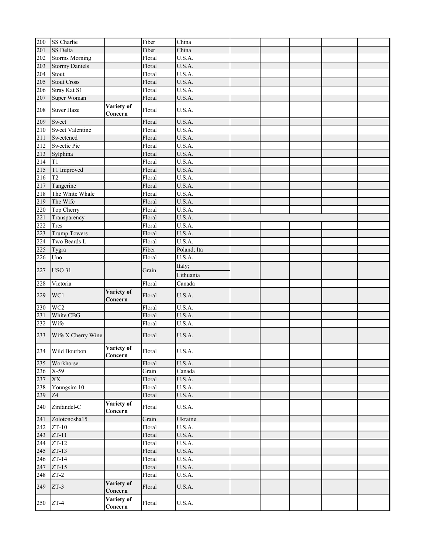| 200              | SS Charlie             |                       | Fiber  | China               |  |  |  |
|------------------|------------------------|-----------------------|--------|---------------------|--|--|--|
| 201              | SS Delta               |                       | Fiber  | China               |  |  |  |
| 202              | <b>Storms Morning</b>  |                       | Floral | U.S.A.              |  |  |  |
| 203              | <b>Stormy Daniels</b>  |                       | Floral | U.S.A.              |  |  |  |
| 204              | Stout                  |                       | Floral | U.S.A.              |  |  |  |
| 205              | <b>Stout Cross</b>     |                       | Floral | U.S.A.              |  |  |  |
| 206              | Stray Kat S1           |                       | Floral | U.S.A.              |  |  |  |
| 207              | Super Woman            |                       | Floral | U.S.A.              |  |  |  |
|                  |                        |                       |        |                     |  |  |  |
| 208              | <b>Suver Haze</b>      | Variety of<br>Concern | Floral | U.S.A.              |  |  |  |
| 209              | Sweet                  |                       | Floral | U.S.A.              |  |  |  |
| 210              | <b>Sweet Valentine</b> |                       | Floral | U.S.A.              |  |  |  |
| 211              | Sweetened              |                       | Floral | U.S.A.              |  |  |  |
| 212              | Sweetie Pie            |                       | Floral | $\overline{U}.S.A.$ |  |  |  |
| $\overline{213}$ | Sylphina               |                       | Floral | U.S.A.              |  |  |  |
| 214              | T1                     |                       | Floral | U.S.A.              |  |  |  |
| 215              | T1 Improved            |                       | Floral | U.S.A.              |  |  |  |
| 216              | T <sub>2</sub>         |                       | Floral | $\overline{U.S.A.}$ |  |  |  |
| 217              | Tangerine              |                       | Floral | U.S.A.              |  |  |  |
| 218              | The White Whale        |                       | Floral | U.S.A.              |  |  |  |
| 219              | The Wife               |                       | Floral | U.S.A.              |  |  |  |
| 220              | Top Cherry             |                       | Floral | U.S.A.              |  |  |  |
| 221              | Transparency           |                       | Floral | U.S.A.              |  |  |  |
| 222              | <b>Tres</b>            |                       | Floral | U.S.A.              |  |  |  |
| 223              | <b>Trump Towers</b>    |                       | Floral | U.S.A.              |  |  |  |
| 224              | Two Beards L           |                       | Floral | U.S.A.              |  |  |  |
| 225              | Tygra                  |                       | Fiber  | Poland; Ita         |  |  |  |
| 226              | Uno                    |                       | Floral | U.S.A.              |  |  |  |
|                  |                        |                       |        |                     |  |  |  |
| 227              | <b>USO 31</b>          |                       | Grain  | Italy;<br>Lithuania |  |  |  |
| 228              | Victoria               |                       | Floral | Canada              |  |  |  |
| 229              | WC1                    | Variety of<br>Concern | Floral | U.S.A.              |  |  |  |
| 230              | WC <sub>2</sub>        |                       | Floral | $\overline{U}.S.A.$ |  |  |  |
| 231              | White CBG              |                       | Floral | U.S.A.              |  |  |  |
| 232              | Wife                   |                       | Floral | U.S.A.              |  |  |  |
|                  |                        |                       |        |                     |  |  |  |
| 233              | Wife X Cherry Wine     |                       | Floral | U.S.A.              |  |  |  |
|                  | 234 Wild Bourbon       | Variety of<br>Concern | Floral | U.S.A.              |  |  |  |
| 235              | Workhorse              |                       | Floral | U.S.A.              |  |  |  |
| 236              | $X-59$                 |                       | Grain  | Canada              |  |  |  |
| 237              | XX                     |                       | Floral | U.S.A.              |  |  |  |
| 238              | Youngsim 10            |                       | Floral | U.S.A.              |  |  |  |
| 239              | Z4                     |                       | Floral | U.S.A.              |  |  |  |
| 240              | Zinfandel-C            | Variety of<br>Concern | Floral | U.S.A.              |  |  |  |
| 241              | Zolotonosha15          |                       | Grain  | Ukraine             |  |  |  |
| 242              | $ZT-10$                |                       | Floral | U.S.A.              |  |  |  |
| 243              | $ZT-11$                |                       | Floral | U.S.A.              |  |  |  |
| 244              | $ZT-12$                |                       | Floral | U.S.A.              |  |  |  |
| 245              | $ZT-13$                |                       | Floral | U.S.A.              |  |  |  |
| 246              | $ZT-14$                |                       | Floral | U.S.A.              |  |  |  |
| 247              | $ZT-15$                |                       | Floral | U.S.A.              |  |  |  |
| 248              | $ZT-2$                 |                       | Floral | U.S.A.              |  |  |  |
| 249              | $ZT-3$                 | Variety of<br>Concern | Floral | U.S.A.              |  |  |  |
| 250              | $ZT-4$                 | Variety of<br>Concern | Floral | U.S.A.              |  |  |  |